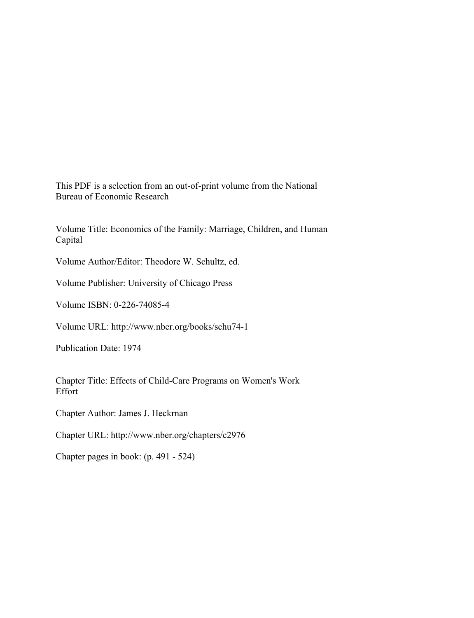This PDF is a selection from an out-of-print volume from the National Bureau of Economic Research

Volume Title: Economics of the Family: Marriage, Children, and Human Capital

Volume Author/Editor: Theodore W. Schultz, ed.

Volume Publisher: University of Chicago Press

Volume ISBN: 0-226-74085-4

Volume URL: http://www.nber.org/books/schu74-1

Publication Date: 1974

Chapter Title: Effects of Child-Care Programs on Women's Work Effort

Chapter Author: James J. Heckrnan

Chapter URL: http://www.nber.org/chapters/c2976

Chapter pages in book: (p. 491 - 524)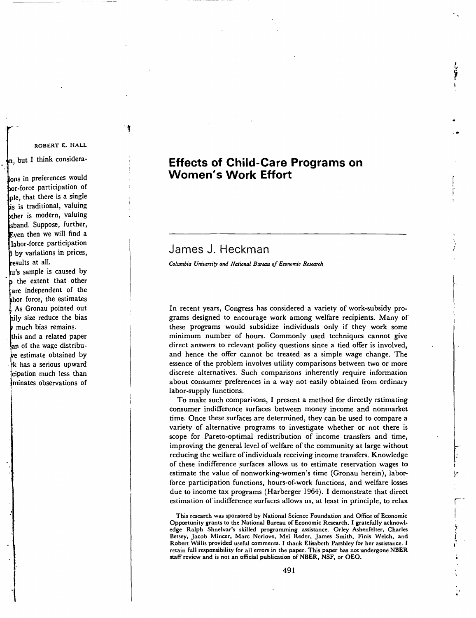# Effects of Child-Care Programs on Women's Work Effort

# James J. Heckman

Columbia University and National Bureau of Economic Research

In recent years, Congress has considered a variety of work-subsidy programs designed to encourage work among welfare recipients. Many of these programs would subsidize individuals only if they work some minimum number of hours. Commonly used techniques cannot give direct answers to relevant policy questions since a tied offer is involved, and hence the offer cannot be treated as a simple wage change. The essence of the problem involves utility comparisons between two or more discrete alternatives. Such comparisons inherently require information about consumer preferences in a way not easily obtained from ordinary labor-supply functions.

To make such comparisons, I present a method for directly estimating consumer indifference surfaces between money income and nonmarket time. Once these surfaces are determined, they can be used to compare a variety of alternative programs to investigate whether or not there is scope for Pareto-optimal redistribution of income transfers and time, improving the general level of welfare of the community at large without reducing the welfare of individuals receiving income transfers. Knowledge of these indifference surfaces allows us to estimate reservation wages to estimate the value of nonworking-women's time (Gronau herein), laborforce participation functions, hours-of-work functions, and welfare losses due to income tax programs (Harberger 1964). I demonstrate that direct estimation of indifference surfaces allows us, at least in principle, to relax

This research was sponsored by National Science Foundation and Office of Economic Opportunity grants to the National Bureau of Economic Research. I gratefully acknowledge Ralph Shnelvar's skilled programming assistance. Orley Ashenfelter, Charles Betsey, Jacob Mincer, Marc Nerlove, Mel Reder, James Smith, Finis Welch, and Robert Willis provided useful comments. I thank Elisabeth Parshley for her assistance. I retain full responsibility for all errors in the paper. This paper has not undergone NBER staff review and is not an official publication of NBER, NSF, or OEO.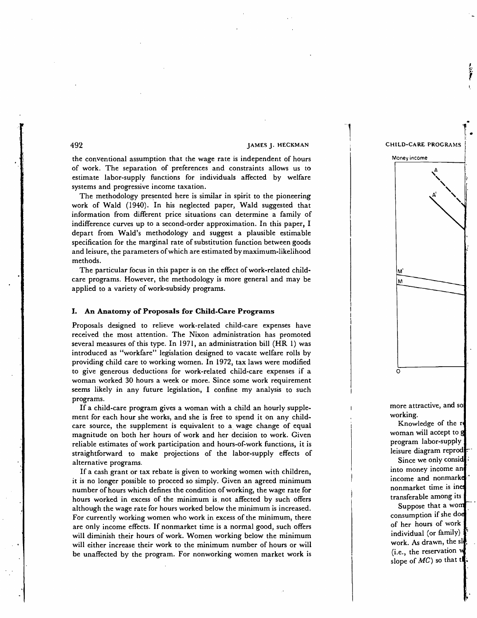492 JAMES J. HECKMAN

the conventional assumption that the wage rate is independent of hours of work. The separation of preferences and constraints allows us to estimate labor-supply functions for individuals affected by welfare systems and progressive income taxation.

The methodology presented here is similar in spirit to the pioneering work of Wald (1940). In his neglected paper, Wald suggested that information from different price situations can determine a family of indifference curves up to a second-order approximation. In this paper, I depart from Wald's methodology and suggest a plausible estimable specification for the marginal rate of substitution function between goods and leisure, the parameters of which are estimated by maximum-likelihood methods.

The particular focus in this paper is on the effect of work-related childcare programs. However, the methodology is more general and may be applied to a variety of work-subsidy programs.

# I. An Anatomy of Proposals for Child-Care Programs

Proposals designed to relieve work-related child-care expenses have received the most attention. The Nixon administration has promoted several measures of this type. In 1971, an administration bill (HR 1) was introduced as "workfare" legislation designed to vacate welfare rolls by providing child care to working women. In 1972, tax laws were modified to give generous deductions for work-related child-care expenses if a woman worked 30 hours a week or more. Since some work requirement seems likely in any future legislation, I confine my analysis to such programs.

If a child-care program gives a woman with a child an hourly supplement for each hour she works, and she is free to spend it on any childcare source, the supplement is equivalent to a wage change of equal magnitude on both her hours of work and her decision to work. Given reliable estimates of work participation and hours-of-work functions, it is straightforward to make projections of the labor-supply effects of alternative programs.

If a cash grant or tax rebate is given to working women with children, it is no longer possible to proceed so simply. Given an agreed minimum number of hours which defines the condition of working, the wage rate for hours worked in excess of the minimum is not affected by such offers although the wage rate for hours worked below the minimum is increased. For currently working women who work in excess of the minimum, there are only income effects. If nonmarket time is a normal good, such offers will diminish their hours of work. Women working below the minimum will either increase their work to the minimum number of hours or will be unaffected by the program. For nonworking women market work is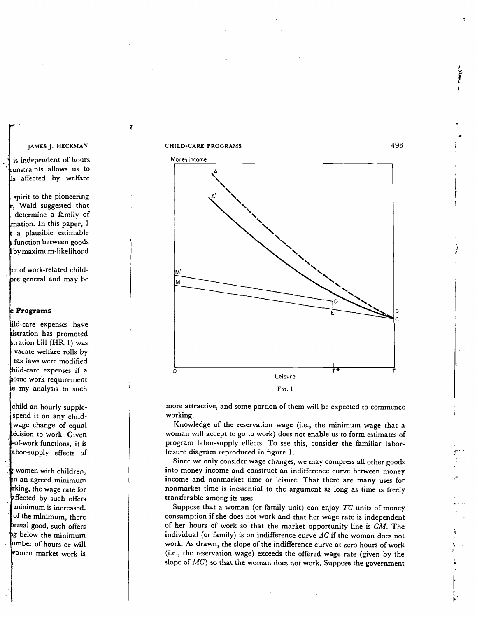



Fio. <sup>1</sup>

more attractive, and some portion of them will be expected to commence working.

Knowledge of the reservation wage (i.e., the minimum wage that a woman will accept to go to work) does not enable us to form estimates of program labor-supply effects. To see this, consider the familiar laborleisure diagram reproduced in figure 1.

Since we only consider wage changes, we may compress all other goods into money income and construct an indifference curve between money income and nonmarket time or leisure. That there are many uses for nonmarket time is inessential to the argument as long as time is freely transferable among its uses.

Suppose that a woman (or family unit) can enjoy  $TC$  units of money consumption if she does not work and that her wage rate is independent of her hours of work so that the market opportunity line is  $CM$ . The individual (or family) is on indifference curve  $AC$  if the woman does not work. As drawn, the slope of the indifference curve at zero hours of work (i.e., the reservation wage) exceeds the offered wage rate (given by the slope of  $MC$ ) so that the woman does not work. Suppose the government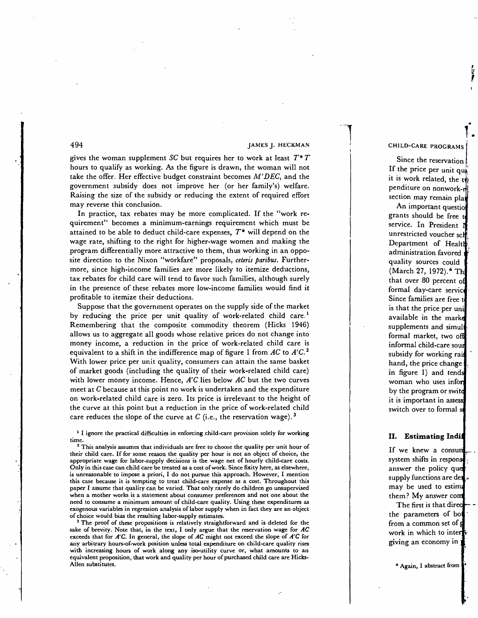$\ddot{\phantom{a}}$ 

gives the woman supplement SC but requires her to work at least  $T^*T$ hours to qualify as working. As the figure is drawn, the woman will not take the offer. Her effective budget constraint becomes  $M'DEC$ , and the government subsidy does not improve her (or her family's) welfare. Raising the size of the subsidy or reducing the extent of required effort may reverse this conclusion.

In practice, tax rebates may be more complicated. If the "work requirement" becomes a minimum-earnings requirement which must be attained to be able to deduct child-care expenses,  $T^*$  will depend on the wage rate, shifting to the right for higher-wage women and making the program differentially more attractive to them, thus working in an opposite direction to the Nixon "workfare" proposals, ceteris paribus. Furthermore, since high-income families are more likely to itemize deductions, tax rebates for child care will tend to favor such families, although surely in the presence of these rebates more low-income families would find it profitable to itemize their deductions.

Suppose that the government operates on the supply side of the market by reducing the price per unit quality of work-related child care.<sup>1</sup> Remembering that the composite commodity theorem (Hicks 1946) allows us to aggregate all goods whose relative prices do not change into money income, a reduction in the price of work-related child care is equivalent to a shift in the indifference map of figure 1 from  $AC$  to  $A'C<sup>2</sup>$ With lower price per unit quality, consumers can attain the same basket of market goods (including the quality of their work-related child care) with lower money income. Hence,  $A'C$  lies below  $AC$  but the two curves meet at C because at this point no work is undertaken and the expenditure on work-related child care is zero. Its price is irrelevant to the height of the curve at this point but a reduction in the price of work-related child care reduces the slope of the curve at  $C$  (i.e., the reservation wage).<sup>3</sup>

<sup>1</sup> I ignore the practical difficulties in enforcing child-care provision solely for working time.

<sup>2</sup> This analysis assumes that individuals are free to choose the quality per unit hour of their child care. If for some reason the quality per hour is not an object of choice, the appropriate wage for labor-supply decisions is the wage net of hourly child-care costs. Only in this case can child care be treated as a cost of work. Since fixity here, as elsewhere, is unreasonable to impose a priori, I do not pursue this approach. However, I mention this case because it is tempting to treat child-care expense as a cost. Throughout this paper I assume that quality can be varied. That only rarely do children go unsupervised when a mother works is a statement about consumer preferences and not one about the need to consume a minimum amount of child-care quality. Using these expenditures as exogenous variables in regression analysis of labor supply when in fact they are an object of choice would bias the resulting labor-supply estimates.

<sup>3</sup> The proof of these propositions is relatively straightforward and is deleted for the sake of brevity. Note that, in the text, I only argue that the reservation wage for  $AC$ exceeds that for  $A'C$ . In general, the slope of  $AC$  might not exceed the slope of  $A'C$  for any arbitrary hours-of-work position unless total expenditure on child-care quality rises with increasing hours of work along any iso-utility curve or, what amounts to an equivalent proposition, that work and quality per hour of purchased child care are Hicks-Allen substitutes.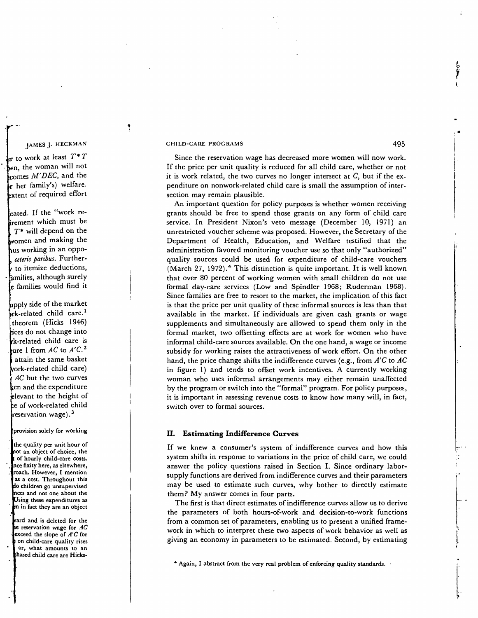Since the reservation wage has decreased more women will now work. If the price per unit quality is reduced for all child care, whether or not it is work related, the two curves no longer intersect at  $C$ , but if the expenditure on nonwork-related child care is small the assumption of intersection may remain plausible.

An important question for policy purposes is whether women receiving grants should be free to spend those grants on any form of child care service. In President Nixon's veto message (December 10, 1971) an unrestricted voucher scheme was proposed. However, the Secretary of the Department of Health, Education, and Welfare testified that the administration favored monitoring voucher use so that only "authorized" quality sources could be used for expenditure of child-care vouchers (March 27, 1972).<sup>4</sup> This distinction is quite important. It is well known that over 80 percent of working women with small children do not use formal day-care services (Low and Spindler 1968; Ruderman 1968). Since families are free to resort to the market, the implication of this fact is that the price per unit quality of these informal sources is less than that available in the market. If individuals are given cash grants or wage supplements and simultaneously are allowed to spend them only in the formal market, two offsetting effects are at work for women who have informal child-care sources available. On the one hand, a wage or income subsidy for working raises the attractiveness of work effort. On the other hand, the price change shifts the indifference curves (e.g., from  $A'C$  to  $AC$ in figure 1) and tends to offset work incentives. A currently working woman who uses informal arrangements may either remain unaffected by the program or switch into the "formal" program. For policy purposes, it is important in assessing revenue costs to know how many will, in fact, switch over to formal sources.

# IL Estimating Indifference Curves

If we knew a consumer's system of indifference curves and how this system shifts in response to variations in the price of child care, we could answer the policy questions raised in Section I. Since ordinary laborsupply functions are derived from indifference curves and their parameters may be used to estimate such curves, why bother to directly estimate them? My answer comes in four parts.

The first is that direct estimates of indifference curves allow us to derive the parameters of both hours-of-work and decision-to-work functions from a common set of parameters, enabling us to present a unified framework in which to interpret these two aspects of work behavior as well as giving an economy in parameters to be estimated. Second, by estimating

<sup>&</sup>lt;sup>4</sup> Again, I abstract from the very real problem of enforcing quality standards.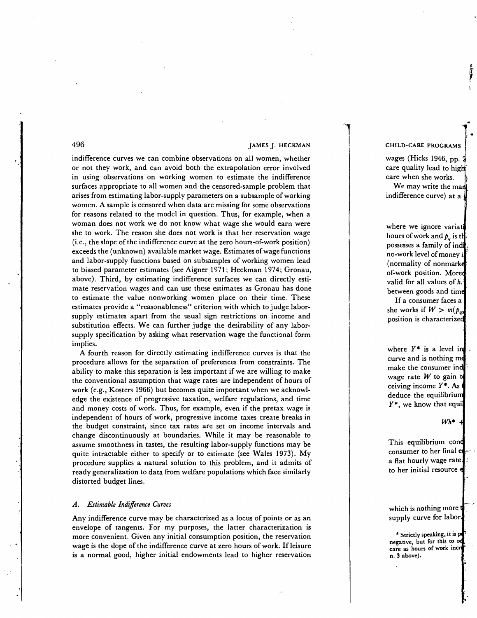indifference curves we can combine observations on all women, whether or not they work, and can avoid both the extrapolation error involved in using observations on working women to estimate the indifference surfaces appropriate to all women and the censored-sample problem that arises from estimating labor-supply parameters on a subsample of working women. A sample is censored when data are missing for some observations for reasons related to the model in question. Thus, for example, when a woman does not work we do not know what wage she would earn were she to work. The reason she does not work is that her reservation wage (i.e., the slope of the indifference curve at the zero hours-of-work position) exceeds the (unknown) available market wage. Estimates of wage functions and labor-supply functions based on subsamples of working women lead to biased parameter estimates (see Aigner 1971; Heckman 1974; Gronau, above). Third, by estimating indifference surfaces we can directly estimate reservation wages and can use these estimates as Gronau has done to estimate the value nonworking women place on their time. These estimates provide a "reasonableness" criterion with which to judge laborsupply estimates apart from the usual sign restrictions on income and substitution effects. We can further judge the desirability of any laborsupply specification by asking what reservation wage the functional form implies.

A fourth reason for directly estimating indifference curves is that the procedure allows for the separation of preferences from constraints. The ability to make this separation is less important if we are willing to make the conventional assumption that wage rates are independent of hours of work (e.g., Kosters 1966) but becomes quite important when we acknowledge the existence of progressive taxation, welfare regulations, and time and money costs of work. Thus, for example, even if the pretax wage is independent of hours of work, progressive income taxes create breaks in the budget constraint, since tax rates are set on income intervals and change discontinuously at boundaries. While it may be reasonable to assume smoothness in tastes, the resulting labor-supply functions may be quite intractable either to specify or to estimate (see Wales 1973). My procedure supplies a natural solution to this problem, and it admits of ready generalization to data from welfare populations which face similarly distorted budget lines.

## A. Estimable Indifference Curves

Any indifference curve may be characterized as a locus of points or as an envelope of tangents. For my purposes, the latter characterization is more convenient. Given any initial consumption position, the reservation wage is the slope of the indifference curve at zero hours of work. If leisure is a normal good, higher initial endowments lead to higher reservation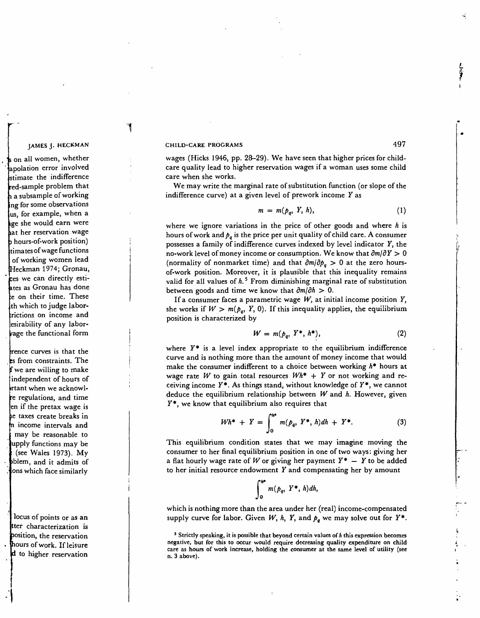wages (Hicks 1946, pp. 28—29). We have seen that higher prices for childcare quality lead to higher reservation wages if a woman uses some child care when she works.

We may write the marginal rate of substitution function (or slope of the indifference curve) at a given level of prework income  $Y$  as

$$
m = m(p_q, Y, h), \qquad (1)
$$

CHILE<br>
wages<br>
care t<br>
care in We<br>
indiff<br>
where<br>
hours<br>
posses<br>
no-we<br>
(norn<br>
of-wo<br>
valid<br>
betwe If a<br>
she wage<br>
ceivir<br>
where<br>
curve<br>
make<br>
wage<br>
ceivir<br>
dedute<br>  $Y^*, v$ <br>
This<br>
Consu<br>
a flat<br>
to he:<br>
she wage<br>
ceivir<br>
ded where we ignore variations in the price of other goods and where  $h$  is hours of work and  $p_a$  is the price per unit quality of child care. A consumer possesses a family of indifference curves indexed by level indicator Y, the no-work level of money income or consumption. We know that  $\partial m / \partial Y > 0$ (normality of nonmarket time) and that  $\partial m/\partial p_a > 0$  at the zero hoursof-work position. Moreover, it is plausible that this inequality remains valid for all values of  $h<sup>5</sup>$  From diminishing marginal rate of substitution between goods and time we know that  $\partial m/\partial h > 0$ .

If a consumer faces a parametric wage  $W$ , at initial income position  $Y$ , she works if  $W > m(p_a, Y, 0)$ . If this inequality applies, the equilibrium position is characterized by

$$
W = m(p_q, Y^*, h^*), \tag{2}
$$

where  $Y^*$  is a level index appropriate to the equilibrium indifference curve and is nothing more than the amount of money income that would make the consumer indifferent to a choice between working  $h^*$  hours at wage rate W to gain total resources  $Wh^* + Y$  or not working and receiving income  $Y^*$ . As things stand, without knowledge of  $Y^*$ , we cannot deduce the equilibrium relationship between  $W$  and  $h$ . However, given  $Y^*$ , we know that equilibrium also requires that

$$
Wh^* + Y = \int_0^{h^*} m(p_q, Y^*, h) dh + Y^*.
$$
 (3)

This equilibrium condition states that we may imagine moving the consumer to her final equilibrium position in one of two ways: giving her a flat hourly wage rate of W or giving her payment  $Y^* - Y$  to be added to her initial resource endowment  $Y$  and compensating her by amount

$$
\int_0^{h^*} m(p_q, Y^*, h) dh,
$$

which is nothing more than the area under her (real) income-compensated supply curve for labor. Given W, h, Y, and  $p_q$  we may solve out for  $Y^*$ .

<sup>&</sup>lt;sup>5</sup> Strictly speaking, it is possible that beyond certain values of  $h$  this expression becomes negative, but for this to occur would require decreasing quality expenditure on child care as hours of work increase, holding the consumer at the same level of utility (see n. 3 above).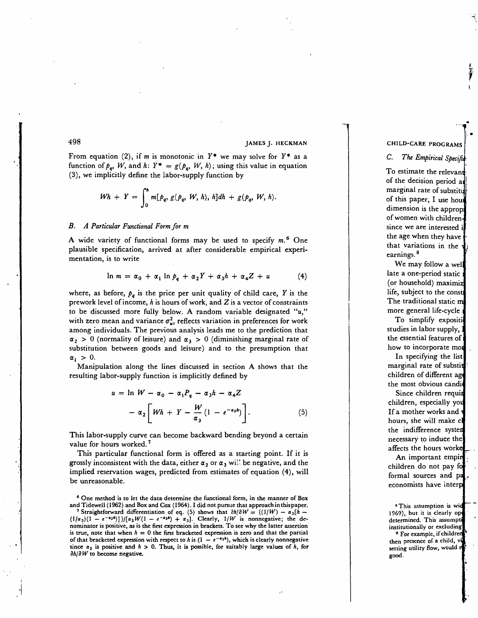From equation (2), if m is monotonic in  $Y^*$  we may solve for  $Y^*$  as a function of  $p_a$ , W, and h:  $Y^* = g(p_a, W, h)$ ; using this value in equation (3), we implicitly define the labor-supply function by

$$
Wh + Y = \int_0^h m[p_q, g(p_q, W, h), h]dh + g(p_q, W, h).
$$

# B. A Particular Functional Form for m

A wide variety of functional forms may be used to specify  $m$ .<sup>6</sup> One plausible specification, arrived at after considerable empirical experimentation, is to write

$$
\ln m = \alpha_0 + \alpha_1 \ln p_q + \alpha_2 Y + \alpha_3 h + \alpha_4 Z + u \tag{4}
$$

where, as before,  $p_a$  is the price per unit quality of child care, Y is the prework level of income,  $h$  is hours of work, and  $Z$  is a vector of constraints to be discussed more fully below. A random variable designated "u," with zero mean and variance  $\sigma_w^2$ , reflects variation in preferences for work among individuals. The previous analysis leads me to the prediction that  $\alpha_2 > 0$  (normality of leisure) and  $\alpha_3 > 0$  (diminishing marginal rate of substitution between goods and leisure) and to the presumption that  $\alpha_1 > 0$ .

Manipulation along the lines discussed in section A shows that the resulting labor-supply function is implicitly defined by

$$
u = \ln W - \alpha_0 - \alpha_1 P_q - \alpha_3 h - \alpha_4 Z
$$

$$
- \alpha_2 \left[ Wh + Y - \frac{W}{\alpha_3} (1 - e^{-\alpha_3 h}) \right]. \tag{5}
$$

This labor-supply curve can become backward bending beyond a certain value for hours worked.<sup>7</sup>

This particular functional form is offered as a starting point. If it is grossly inconsistent with the data, either  $\alpha_2$  or  $\alpha_3$  will be negative, and the implied reservation wages, predicted from estimates of equation (4), will be unreasonable.

<sup>6</sup> One method is to let the data determine the functional form, in the manner of Box and Tidewell(l962) and Box and Cox (1964). I did not pursue that approachinthispaper.

<sup>7</sup> Straightforward differentiation of eq. (5) shows that  $\partial h/\partial W = \{(1/W) - \alpha_2[h (1/\alpha_3)(1 - e^{-a_3h})$ ]  $/[(\alpha_2W(1 - e^{-a_3h}) + \alpha_3]$ . Clearly,  $1/W$  is nonnegative; the denominator is positive, as is the first expression in brackets. To see why the latter assertion is true, note that when  $h = 0$  the first bracketed expression is zero and that the partial of that bracketed expression with respect to h is  $(1 - e^{-\alpha_3 h})$ , which is clearly nonnegative since  $\alpha_3$  is positive and  $h > 0$ . Thus, it is possible, for suitably large values of h, for  $\partial h/\partial W$  to become negative.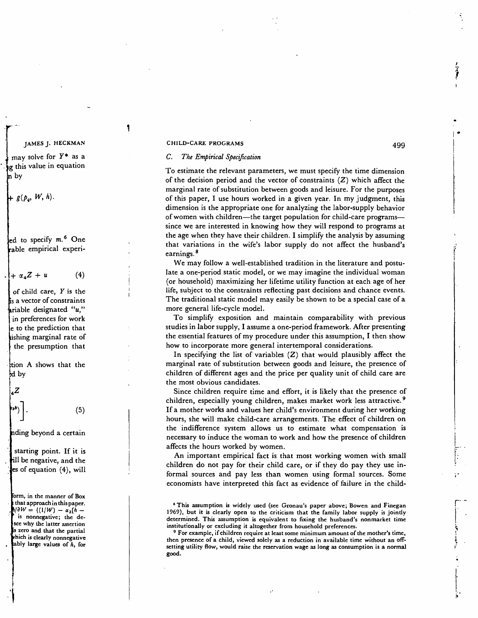#### C. The Empirical Specification

To estimate the relevant parameters, we must specify the time dimension of the decision period and the vector of constraints  $(Z)$  which affect the marginal rate of substitution between goods and leisure. For the purposes of this paper, I use hours worked in a given year. In my judgment, this dimension is the appropriate one for analyzing the labor-supply behavior of women with children—the target population for child-care programs since we are interested in knowing how they will respond to programs at the age when they have their children. I simplify the analysis by assuming that variations in the wife's labor supply do not affect the husband's earnings.<sup>8</sup> CHILD-CARK PROGRAMS 499<br>
(2) The Empirical Specification<br>
(2) The Empirical Specification<br>
To estimate the relactor period and the vector of constraints (2) which affect the<br>
childrens of the decision period and the vecto

We may follow a well-established tradition in the literature and postulate a one-period static model, or we may imagine the individual woman (or household) maximizing her lifetime utility function at each age of her life, subject to the constraints reflecting past decisions and chance events. The traditional static model may easily be shown to be a special case of a more general life-cycle model.

To simplify exposition and maintain comparability with previous studies in labor supply, I assume a one-period framework. After presenting the essential features of my procedure under this assumption, I then show how to incorporate more general intertemporal considerations.

In specifying the list of variables  $(Z)$  that would plausibly affect the marginal rate of substitution between goods and leisure, the presence of children of different ages and the price per quality unit of child care are the most obvious candidates.

Since children require time and effort, it is likely that the presence of children, especially young children, makes market work less attractive.<sup>9</sup> If a mother works and values her child's environment during her working hours, she will make child-care arrangements. The effect of children on the indifference system allows us to estimate what compensation is necessary to induce the woman to work and how the presence of children affects the hours worked by women.

An important empirical fact is that most working women with small children do not pay for their child care, or if they do pay they use informal sources and pay less than women using formal sources. Some economists have interpreted this fact as evidence of failure in the child-

For example, if children require at least some minimum amount of the mother's time, then presence of a child, viewed solely as a reduction in available time without an offsetting utility flow, would raise the reservation wage as long as consumption is a normal

<sup>&#</sup>x27;This assumption is widely used (see Gronau's paper above; Bowen and Finegan 1969), but it is clearly open to the criticism that the family labor supply is jointly determined. This assumption is equivalent to fixing the husband's nonmarket time institutionally or excluding it altogether from household preferences.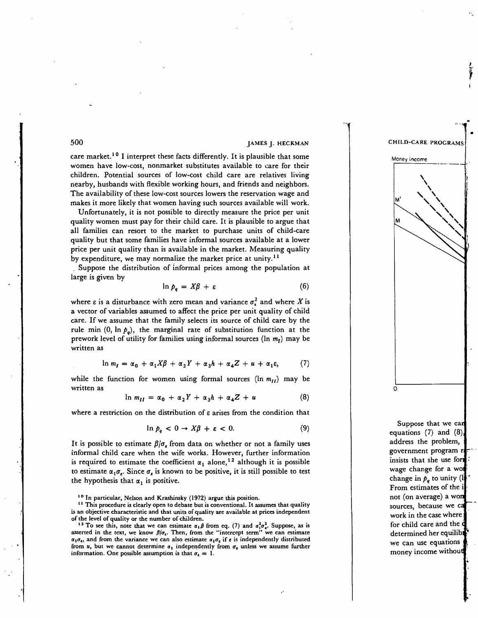care market.<sup>10</sup> I interpret these facts differently. It is plausible that some women have low-cost, nonmarket substitutes available to care for their children. Potential sources of low-cost child care are relatives living nearby, husbands with flexible working hours, and friends and neighbors. The availability of these low-cost sources lowers the reservation wage and makes it more likely that women having such sources available will work.

Unfortunately, it is not possible to directly measure the price per unit quality women must pay for their child care. It is plausible to argue that all families can resort to the market to purchase units of child-care quality but that some families have informal sources available at a lower price per unit quality than is available in the market. Measuring quality by expenditure, we may normalize the market price at unity.<sup>11</sup>

Suppose the distribution of informal prices among the population at large is given by

$$
\ln p_q = X\beta + \varepsilon \tag{6}
$$

where  $\varepsilon$  is a disturbance with zero mean and variance  $\sigma_{\varepsilon}^2$  and where X is a vector of variables assumed to affect the price per unit quality of child care. If we assume that the family selects its source of child care by the rule min (0, ln  $p_a$ ), the marginal rate of substitution function at the prework level of utility for families using informal sources (ln  $m_1$ ) may be written as

$$
\ln m_I = \alpha_0 + \alpha_1 X \beta + \alpha_2 Y + \alpha_3 h + \alpha_4 Z + u + \alpha_1 \varepsilon, \qquad (7)
$$

while the function for women using formal sources ( $\ln m_{II}$ ) may be written as

$$
\ln m_{II} = \alpha_0 + \alpha_2 Y + \alpha_3 h + \alpha_4 Z + u \tag{8}
$$

where a restriction on the distribution of  $\varepsilon$  arises from the condition that

$$
\ln \rho_q < 0 \to X\beta + \varepsilon < 0. \tag{9}
$$

ä,

It is possible to estimate  $\beta/\sigma_{\epsilon}$  from data on whether or not a family uses informal child care when the wife works. However, further information is required to estimate the coefficient  $\alpha_1$  alone,<sup>12</sup> although it is possible to estimate  $\alpha_1 \sigma_e$ . Since  $\sigma_e$  is known to be positive, it is still possible to test the hypothesis that  $\alpha_1$  is positive.

<sup>10</sup> In particular, Nelson and Krashinsky (1972) argue this position.

<sup>&</sup>lt;sup>11</sup> This procedure is clearly open to debate but is conventional. It assumes that quality is an objective characteristic and that units of quality are available at prices independent

of the level of quality or the number of children.<br><sup>12</sup> To see this, note that we can estimate  $\alpha_1 \beta$  from eq. (7) and  $\alpha_1^2 \sigma_{\epsilon}^2$ . Suppose, as is asserted in the text, we know  $\beta/\sigma_{\epsilon}$ . Then, from the "intercept term" we can estimate  $\alpha_1\sigma_4$ , and from the variance we can also estimate  $\alpha_1\sigma_4$  if  $\varepsilon$  is independently distributed from u, but we cannot determine  $\alpha_1$  independently from  $\sigma_6$  unless we assume further information. One possible assumption is that  $\sigma_{\epsilon} = 1$ .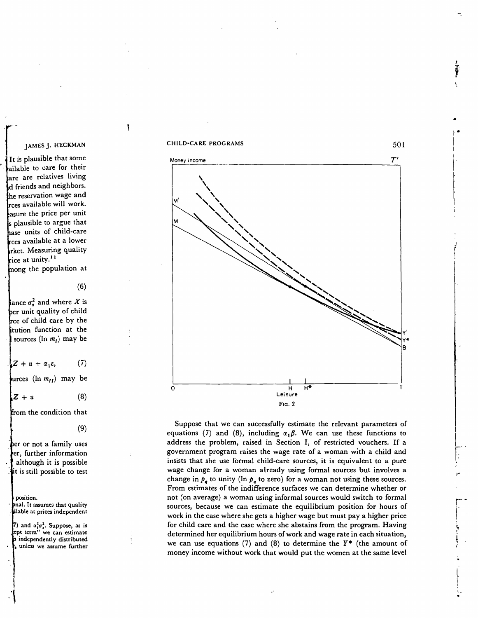

Suppose that we can successfully estimate the relevant parameters of equations (7) and (8), including  $\alpha_1\beta$ . We can use these functions to address the problem, raised in Section I, of restricted vouchers. If a government program raises the wage rate of a woman with a child and insists that she use formal child-care sources, it is equivalent to a pure wage change for a woman already using formal sources but involves a change in  $p_a$  to unity (In  $p_a$  to zero) for a woman not using these sources. From estimates of the indifference surfaces we can determine whether or not (on average) a woman using informal sources would switch to formal sources, because we can estimate the equilibrium position for hours of work in the case where she gets a higher wage but must pay a higher price for child care and the case where she abstains from the program. Having determined her equilibrium hours of work and wage rate in each situation, we can use equations (7) and (8) to determine the  $Y^*$  (the amount of money income without work that would put the women at the same level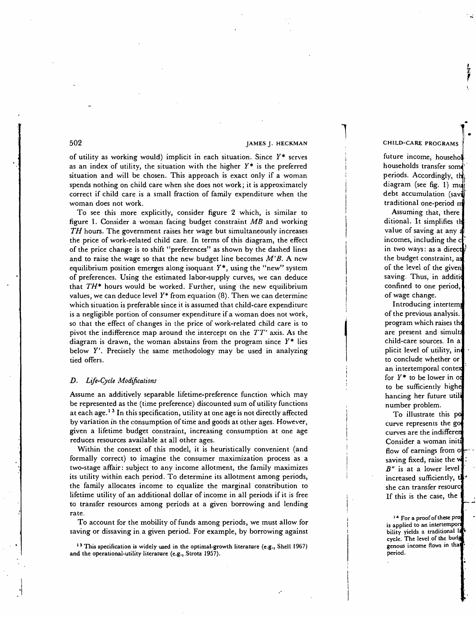of utility as working would) implicit in each situation. Since  $Y^*$  serves as an index of utility, the situation with the higher  $Y^*$  is the preferred situation and will be chosen. This approach is exact only if a woman spends nothing on child care when she does not work; it is approximately correct if child care is a small fraction of family expenditure when the woman does not work.

To see this more explicitly, consider figure 2 which, is similar to figure 1. Consider a woman facing budget constraint MB and working  $TH$  hours. The government raises her wage but simultaneously increases the price of work-related child care. In terms of this diagram, the effect of the price change is to shift "preferences" as shown by the dashed lines and to raise the wage so that the new budget line becomes  $M'B$ . A new equilibrium position emerges along isoquant  $Y^*$ , using the "new" system of preferences. Using the estimated labor-supply curves, we can deduce that  $TH^*$  hours would be worked. Further, using the new equilibrium values, we can deduce level  $Y^*$  from equation (8). Then we can determine which situation is preferable since it is assumed that child-care expenditure is a negligible portion of consumer expenditure if a woman does not work, so that the effect of changes in the price of work-related child care is to pivot the indifference map around the intercept on the  $TT'$  axis. As the diagram is drawn, the woman abstains from the program since  $Y^*$  lies below Y'. Precisely the same methodology may be used in analyzing tied offers.

### D. Life-Cycle Modifications

Assume an additively separable lifetime-preference function which may be represented as the (time preference) discounted sum of utility functions at each age.<sup>13</sup> In this specification, utility at one age is not directly affected by variation in the consumption of time and goods at other ages. However, given a lifetime budget constraint, increasing consumption at one age reduces resources available at all other ages.

Within the context of this model, it is heuristically convenient (and formally correct) to imagine the consumer maximization process as a two-stage affair: subject to any income allotment, the family maximizes its utility within each period. To determine its allotment among periods, the family allocates income to equalize the marginal constribution to lifetime utility of an additional dollar of income in all periods if it is free to transfer resources among periods at a given borrowing and lending rate.

To account for the mobility of funds among periods, we must allow for saving or dissaving in a given period. For example, by borrowing against

<sup>13</sup> This specification is widely used in the optimal-growth literature (e.g., Shell 1967) and the operational-utility literature (e.g., Strotz 1957).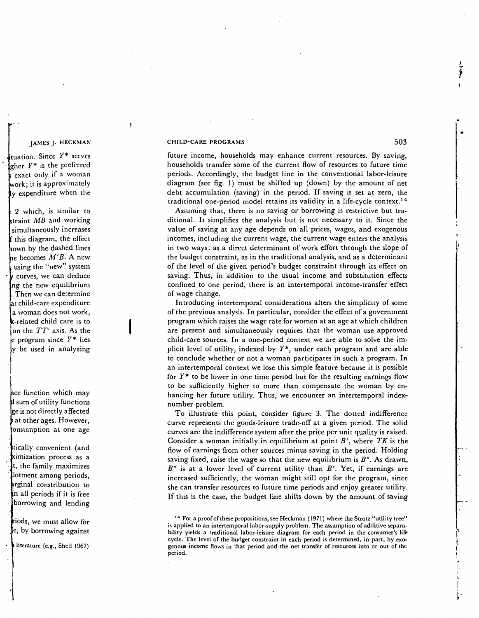future income, households may enhance current resources. By saving, households transfer some of the current flow of resources to future time periods. Accordingly, the budget line in the conventional labor-leisure diagram (see fig. 1) must be shifted up (down) by the amount of net debt accumulation (saving) in the period. If saving is set at zero, the traditional one-period model retains its validity in a life-cycle context.<sup>14</sup>

Assuming that, there is no saving or borrowing is restrictive but traditional. It simplifies the analysis but is not necessary to it. Since the value of saving at any age depends on all prices, wages, and exogenous incomes, including the current wage, the current wage enters the analysis in two ways: as a direct determinant of work effort through the slope of the budget constraint, as in the traditional analysis, and as a determinant of the level of the given period's budget constraint through its effect on saving. Thus, in addition to the usual income and substitution effects confined to one period, there is an intertemporal income-transfer effect of wage change.

Introducing intertemporal considerations alters the simplicity of some of the previous analysis. In particular, consider the effect of a government program which raises the wage rate for women at an age at which children are present and simultaneously requires that the woman use approved child-care sources. In a one-period context we are able to solve the implicit level of utility, indexed by  $Y^*$ , under each program and are able to conclude whether or not a woman participates in such a program. In an intertemporal context we lose this simple feature because it is possible for  $Y^*$  to be lower in one time period but for the resulting earnings flow to be sufficiently higher to more than compensate the woman by enhancing her future utility. Thus, we encounter an intertemporal indexnumber problem.

To illustrate this point, consider figure 3. The dotted indifference curve represents the goods-leisure trade-off at a given period. The solid curves are the indifference system after the price per unit quality is raised. Consider a woman initially in equilibrium at point  $B'$ , where  $TK$  is the flow of earnings from other sources minus saving in the period. Holding saving fixed, raise the wage so that the new equilibrium is  $B''$ . As drawn,  $B''$  is at a lower level of current utility than  $B'$ . Yet, if earnings are increased sufficiently, the woman might still opt for the program, since she can transfer resources to future time periods and enjoy greater utility. If this is the case, the budget line shifts down by the amount of saving

<sup>&</sup>lt;sup>14</sup> For a proof of these propositions, see Heckman (1971) where the Strotz "utility tree" is applied to an intertemporal labor-supply problem. The assumption of additive separability yields a traditional labor-leisure diagram for each period in the consumer's life cycle. The level of the budget constraint in each period is determined, in part, by exogenous income flows in that period and the net transfer of resources into or out of the period.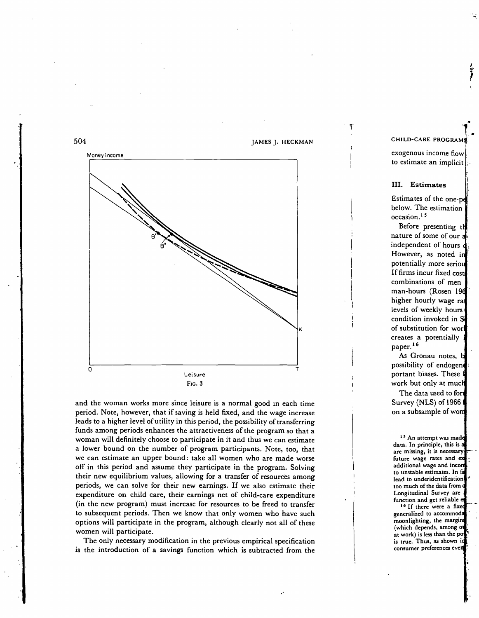

FIG. 3

and the woman works more since leisure is a normal good in each time period. Note, however, that if saving is held fixed, and the wage increase leads to a higher level of utility in this period, the possibility of transferring funds among periods enhances the attractiveness of the program so that a woman will definitely choose to participate in it and thus we can estimate a lower bound on the number of program participants. Note, too, that we can estimate an upper bound: take all women who are made worse off in this period and assume they participate in the program. Solving their new equilibrium values, allowing for a transfer of resources among periods, we can solve for their new earnings. If we also estimate their expenditure on child care, their earnings net of child-care expenditure (in the new program) must increase for resources to be freed to transfer to subsequent periods. Then we know that only women who have such options will participate in the program, although clearly not all of these women will participate.

The only necessary modification in the previous empirical specification is the introduction of a savings function which is subtracted from the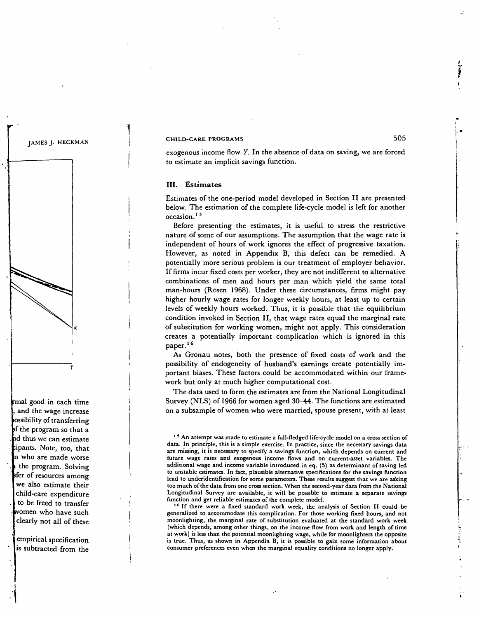exogenous income flow V. In the absence of data on saving, we are forced to estimate an implicit savings function.

# III. Estimates

Estimates of the one-period model developed in Section II are presented below. The estimation of the complete life-cycle model is left for another occasion.<sup>15</sup>

Before presenting the estimates, it is useful to stress the restrictive nature of some of our assumptions. The assumption that the wage rate is independent of hours of work ignores the effect of progressive taxation. However, as noted in Appendix B, this defect can be remedied. A potentially more serious problem is our treatment of employer behavior. If firms incur fixed costs per worker, they are not indifferent to alternative combinations of men and hours per man which yield the same total man-hours (Rosen 1968). Under these circumstances, firms might pay higher hourly wage rates for longer weekly hours, at least up to certain levels of weekly hours worked. Thus, it is possible that the equilibrium condition invoked in Section II, that wage rates equal the marginal rate of substitution for working women, might not apply. This consideration creates a potentially important complication which is ignored in this paper.<sup>16</sup>

As Gronau notes, both the presence of fixed costs of work and the possibility of endogeneity of husband's earnings create potentially important biases. These factors could be accommodated within our framework but only at much higher computational cost.

The data used to form the estimates are from the National Longitudinal Survey (NLS) of 1966 for women aged 30—44. The functions are estimated on a subsample of women who were married, spouse present, with at least

generalized to accommodate this complication. For those working fixed hours, and not moonlighting, the marginal rate of substitution evaluated at the standard work week (which depends, among other things, on the income flow from work and length of time at work) is less than the potential moonlighting wage, while for moonlightcrs the opposite is true. Thus, as shown in Appendix B, it is possible to gain some information about consumer preferences even when the marginal equality conditions no longer apply.

<sup>&</sup>lt;sup>15</sup> An attempt was made to estimate a full-fledged life-cycle model on a cross section of data. In principle, this is a simple exercise. In practice, since the necessary savings data are missing, it is necessary to specify a savings function, which depends on current and future wage rates and exogenous income flows and on current-asset variables. The additional wage and income variable introduced in eq. (5) as determinant of saving led to unstable estimates. In fact, plausible alternative specifications for the savings function lead to underidentification for some parameters. These results suggest that we are asking too much of the data from one cross section. When the second-year data from the National Longitudinal Survey are available, it will be possible to estimate a separate savings function and get reliable estimates of the complete model. <sup>16</sup> If there were a fixed standard work week, the analysis of Section II could be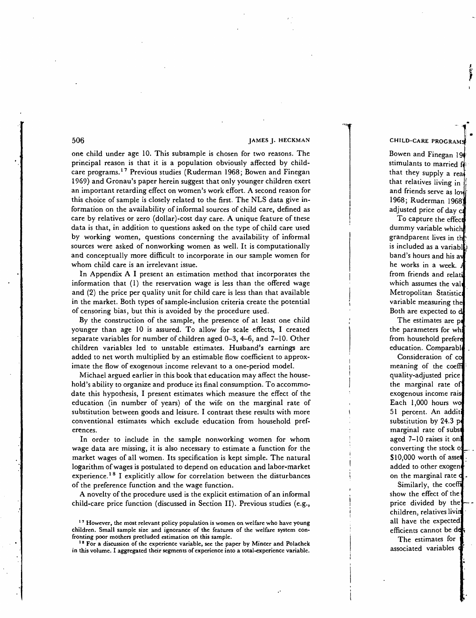$\ddot{\phantom{a}}$ 

one child under age 10. This subsample is chosen for two reasons. The principal reason is that it is a population obviously affected by childcare programs.<sup>17</sup> Previous studies (Ruderman 1968; Bowen and Finegan 1969) and Gronau's paper herein suggest that only younger children exert an important retarding effect on women's work effort. A second reason for this choice of sample is closely related to the first. The NLS data give information on the availability of informal sources of child care, defined as care by relatives or zero (dollar)-cost day care. A unique feature of these data is that, in addition to questions asked on the type of child care used by working women, questions concerning the availability of informal sources were asked of nonworking women as well. It is computationally and conceptually more difficult to incorporate in our sample women for whom child care is an irrelevant issue.

In Appendix A I present an estimation method that incorporates the information that (I) the reservation wage is less than the offered wage and (2) the price per quality unit for child care is less than that available in the market. Both types of sample-inclusion criteria create the potential of censoring bias, but this is avoided by the procedure used.

By the construction of the sample, the presence of at least one child younger than age 10 is assured. To allow for scale effects, I created separate variables for number of children aged 0—3, 4—6, and 7—10. Other children variables led to unstable estimates. Husband's earnings are added to net worth multiplied by an estimable flow coefficient to approximate the flow of exogenous income relevant to a one-period model.

Michael argued earlier in this book that education may affect the household's ability to organize and produce its final consumption. To accommodate this hypothesis, I present estimates which measure the effect of the education (in number of years) of the wife on the marginal rate of substitution between goods and leisure. I contrast these results with more conventional estimates which exclude education from household preferences.

In order to include in the sample nonworking women for whom wage data are missing, it is also necessary to estimate a function for the market wages of all women. Its specification is kept simple. The natural logarithm of wages is postulated to depend on education and labor-market experience.<sup>18</sup> I explicitly allow for correlation between the disturbances of the preference function and the wage function.

A novelty of the procedure used is the explicit estimation of an informal child-care price function (discussed in Section II). Previous studies (e.g.,

<sup>&</sup>lt;sup>17</sup> However, the most relevant policy population is women on welfare who have young children. Small sample size and ignorance of the features of the welfare system con-<br>fronting poor mothers precluded estimation on this sample.

<sup>&</sup>lt;sup>18</sup> For a discussion of the experience variable, see the paper by Mincer and Polachek in this volume. I aggregated their segments of experience into a total-experience variable.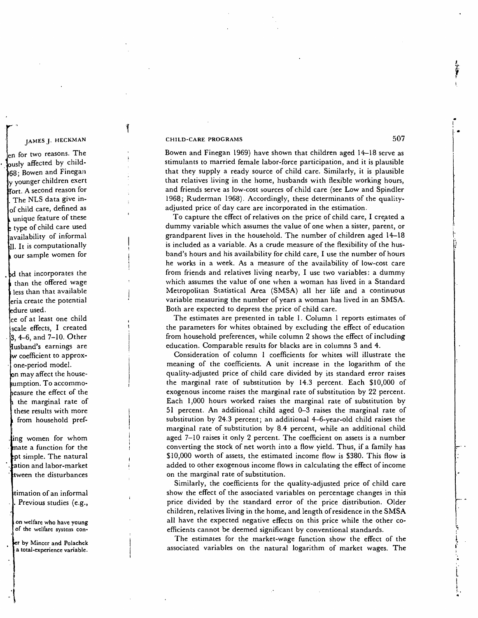Bowen and Finegan 1969) have shown that children aged 14—18 serve as stimulants to married female labor-force participation, and it is plausible that they supply a ready source of child care. Similarly, it is plausible that relatives living in the home, husbands with flexible working hours, and friends serve as low-cost sources of child care (see Low and Spindler 1968; Ruderman 1968). Accordingly, these determinants of the qualityadjusted price of day care are incorporated in the estimation.

To capture the effect of relatives on the price of child care, I created a dummy variable which assumes the value of one when a sister, parent, or grandparent lives in the household. The number of children aged 14—18 is included as a variable. As a crude measure of the flexibility of the husband's hours and his availability for child care, I use the number of hours he works in a week. As a measure of the availability of low-cost care from friends and relatives living nearby, I use two variables: a dummy which assumes the value of one when a woman has lived in a Standard Metropolitan Statistical Area (SMSA) all her life and a continuous variable measuring the number of years a woman has lived in an SMSA. Both are expected to depress the price of child care.

The estimates are presented in table 1. Column I reports estimates of the parameters for whites obtained by excluding the effect of education from household preferences, while column 2 shows the effect of including education. Comparable results for blacks are in columns 3 and 4.

Consideration of column <sup>1</sup> coefficients for whites will illustrate the meaning of the coefficients. A unit increase in the logarithm of the quality-adjusted price of child care divided by its standard error raises the marginal rate of substitution by 14.3 percent. Each \$10,000 of exogenous income raises the marginal rate of substitution by 22 percent. Each 1,000 hours worked raises the marginal rate of substitution by 51 percent. An additional child aged 0—3 raises the marginal rate of substitution by 24.3 percent; an additional 4-6-year-old child raises the marginal rate of substitution by 8.4 percent, while an additional child aged 7—10 raises it only 2 percent. The coefficient on assets is a number converting the stock of net worth into a flow yield. Thus, if a family has \$10,000 worth of assets, the estimated income flow is \$380. This flow is added to other exogenous income flows in calculating the effect of income on the marginal rate of substitution.

Similarly, the coefficients for the quality-adjusted price of child care show the effect of the associated variables on percentage changes in this price divided by the standard error of the price distribution. Older children, relatives living in the home, and length of residence in the SMSA all have the expected negative effects on this price while the other coefficients cannot be deemed significant by conventional standards.

The estimates for the market-wage function show the effect of the associated variables on the natural logarithm of market wages. The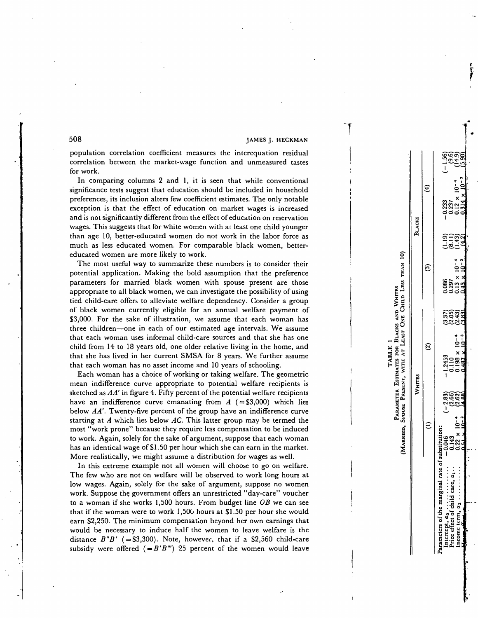$\cdot$ 

population correlation coefficient measures the interequation residual correlation between the market-wage function and unmeasured tastes for work.

In comparing columns 2 and 1, it is seen that while conventional significance tests suggest that education should be included in household preferences, its inclusion alters few coefficient estimates. The only notable exception is that the effect of education on market wages is increased and is not significantly different from the effect of education on reservation wages. This suggests that for white women with at least one child younger than age 10, better-educated women do not work in the labor force as much as less educated women. For comparable black women, bettereducated women are more likely to work.

The most useful way to summarize these numbers is to consider their potential application. Making the bold assumption that the preference parameters for married black women with spouse present are those appropriate to all black women, we can investigate the possibility of using tied child-care offers to alleviate welfare dependency. Consider a group of black women currently eligible for an annual welfare payment of \$3,000. For the sake of illustration, we assume that each woman has three children—one in each of our estimated age intervals. We assume that each woman uses informal child-care sources and that she has one child from 14 to 18 years old, one older relative living in the home, and that she has lived in her current SMSA for 8 years. We further assume that each woman has no asset income and 10 years of schooling.

Each woman has a choice of working or taking welfare. The geometric mean indifference curve appropriate to potential welfare recipients is sketched as  $AA'$  in figure 4. Fifty percent of the potential welfare recipients have an indifference curve emanating from  $A$  (=\$3,000) which lies below AA'. Twenty-five percent of the group have an indifference curve starting at A which lies below AC. This latter group may be termed the most "work prone" because they require less compensation to be induced to work. Again, solely for the sake of argument, suppose that each woman has an identical wage of \$1.50 per hour which she can earn in the market. More realistically, we might assume a distribution for wages as well.

In this extreme example not all women will choose to go on welfare. The few who are not on welfare will be observed to work long hours at low wages. Again, solely for the sake of argument, suppose no women work. Suppose the government offers an unrestricted "day-care" voucher to a woman if she works 1,500 hours. From budget line  $OB$  we can see that if the woman were to work  $1,500$  hours at \$1.50 per hour she would earn \$2,250. The minimum compensation beyond her own earnings that would be necessary to induce half the women to leave welfare is the distance  $B''B'$  (=\$3,300). Note, however, that if a \$2,560 child-care subsidy were offered  $( = B'B''' )$  25 percent of the women would leave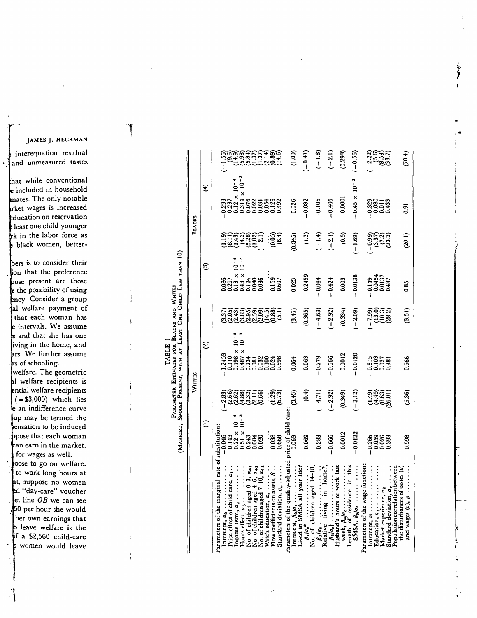TABLE I PARAMETER ESTIMATES FOR BLACKS AND WHITES (MARRIED, SPOUSE PRESENT, WITH AT LEAST ONE CHILD LESS THAN 10) WHITES BLACKS (1) (2) (3) (4) Parameters of the marginal rate of substitution: Intercept, —0.046 (—2.83) Price effect of child care, . 0.143 (2.66) Income term, ,. 0.22 x (2.62) Hours effect, 0.51 x JØ3 (4.88) No. of children aged 0—3, 545 0.243 (3.32) No. of children aged 4—6, 545 0.084 (2.11) No. ofchildrenaged 7—10, 0.020 (0.66) Wife's education, S5 ... ... Flow coefficients on assets, S.. 0.038 (1.29) Standard deviation, a,, 0.668 (6.73) —1.2453 0.110 0.198 x 0.487 x 0.234 0.081 0.032 0.100 0.024 0.598 (3.37) (2.05) (2.43) (3.83) (2.95) (2.59) (2.09) (14.5) (0.88) (5.1) 0.086 0.297 0.13 x 0.43 x 0.124 0.040 —0.036... 0.159 0.607 10-i (1.19) (8.11) (1.43) (4.2) (5.26) (1.82) (—2.1) ... (0.05) (8.4) —0.233 0.237 0.12 X 0.314 x 0.076 0.022 —0.031 0.054 0.129 0.492 (—1.56) (9.6) (14.9) (5.98) (5.84) (1.37) (1.37) (2.14) (0.89) (14.6) Parameters of the quality-adjusted price of child care: Intercept, fl0/c, 0.063 (3.43) Lived in SMSA all your life? 0.069 (0.4) No. of children aged 14—18, P2/a, —0.283 (—4.71) Relative living in home?, —0.666 (—2.92) Husband's hours of work last week, /34/a, 0.0012 (0.349) Length of residence in this SMSA, fl5/cr —0.0122 (—2.12) 0.064 0.063 —0.279 —0.666 0.00 12 —0.0120 (3.47) (0.365) (—4.63) (—2.92) (0.334) (—2.09) 0.023 0.2459 —0.084 —0.424 0.003 —0.0138 (0.845) (1.2) (— 1.4) (—2.1) (0.5) (—1.69) 0.026 —0.082 —0.106 —0.405 0.0001 —0.45 x 10-2 (1.00) (—0.41) (— 1.8) (—2.1) (0.298) (—0.56) Parameters of the wage function: Intercept, in —0.266 (1.49) Education, n5 0.059 (4.45) Market experience, n2 0.026 (8.63) Standard deviation, a,, 0.393 (26.01) Population correlation between the disturbances of tastes (u) and wages (u), p 0.598 (5.36) —0.815 0.103 0.027 0.381 0.566 (—7.99) (13.0) (10.3) (28.2) (3.51) —0.149 0.0454 0.0137 0.487 0.85 (—0.99) (3.37) (7.2) (23.2) (20.1) —0.329 0.080 0.011 0.433 0.91 (—2.22) (5.6) (8.53) (33.7) (70.4) S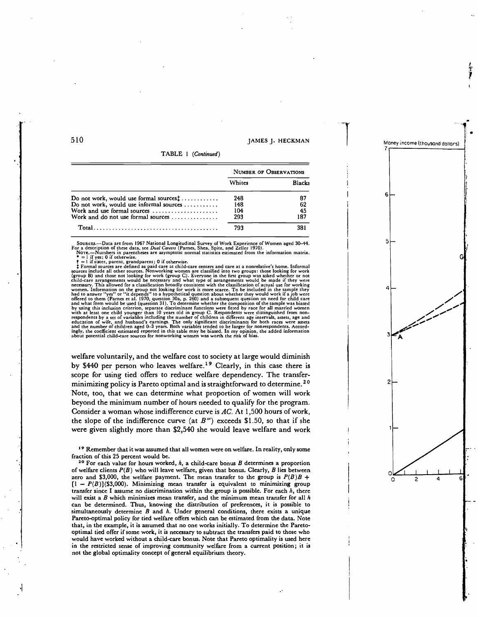$\cdot$ 

| TABLE 1 (Continued) |  |
|---------------------|--|
|---------------------|--|

|                                                                   | <b>NUMBER OF OBSERVATIONS</b> |        |
|-------------------------------------------------------------------|-------------------------------|--------|
|                                                                   | Whites                        | Blacks |
| Do not work, would use formal sources $\ddagger$                  | 248                           | 87     |
| Do not work, would use informal sources                           | 148                           | 62     |
| Work and use formal sources $\dots\dots\dots\dots\dots\dots\dots$ | 104                           | 45     |
| Work and do not use formal sources $\dots\dots\dots\dots$         | 293                           | 187    |
|                                                                   | 793                           | 381    |

Sources.—Data are from 1967 National Longitudinal Survey of Work Experience of Women aged 30–44.<br>For a description of these data, see *Dual Careers* (Parnes, Shea, Spitz, and Zeller 1970).<br>Norg.—Numbers in parentheses are sources increases an other sources. COMMONIST WORK (group C). Everyone in the first group was asked whether or not<br>child-care arrangements would be necessary and what type of arrangements would be made if they were<br>necessa had to answer "yes" or "it depends" to a hypothetical question about whether they would work if a job were offered to them (Parnes et al. 1970, question 30a, p. 260) and a subsequent question on need for child care and what form would be used (question 31). To determine whether the composition of the sample was biased<br>by using this inclusion criterion, separate discriminant functions were fitted by race for all married women<br>with at

welfare voluntarily, and the welfare cost to society at large would diminish by \$440 per person who leaves welfare.<sup>19</sup> Clearly, in this case there is scope for using tied offers to reduce welfare dependency. The transferminimizing policy is Pareto optimal and is straightforward to determine.<sup>20</sup> Note, too, that we can determine what proportion of women will work beyond the minimum number of hours needed to qualify for the program. Consider a woman whose indifference curve is AC. At 1,500 hours of work, the slope of the indifference curve (at  $B'''$ ) exceeds \$1.50, so that if she were given slightly more than \$2,540 she would leave welfare and work

<sup>19</sup> Remember that it was assumed that all women were on welfare. In reality, only some fraction of this 25 percent would be.

<sup>20</sup> For each value for hours worked,  $h$ , a child-care bonus B determines a proportion of welfare clients  $P(B)$  who will leave welfare, given that bonus. Clearly, B lies between zero and \$3,000, the welfare payment. The mean transfer to the group is  $P(B)B +$  $[1 - P(B)]$ (\$3,000). Minimizing mean transfer is equivalent to minimizing group transfer since I assume no discrimination within the group is possible. For each  $h$ , there will exist a  $B$  which minimizes mean transfer, and the minimum mean transfer for all  $h$ can be determined. Thus, knowing the distribution of preferences, it is possible to simultaneously determine  $B$  and  $h$ . Under general conditions, there exists a unique Pareto-optimal policy for tied welfare offers which can be estimated from the data. Note that, in the example, it is assumed that no one works initially. To determine the Paretooptimal tied offer if some work, it is necessary to subtract the transfers paid to those who would have worked without a child-care bonus. Note that Pareto optimality is used here in the restricted sense of improving community welfare from a current position; it is not the global optimality concept of general equilibrium theory.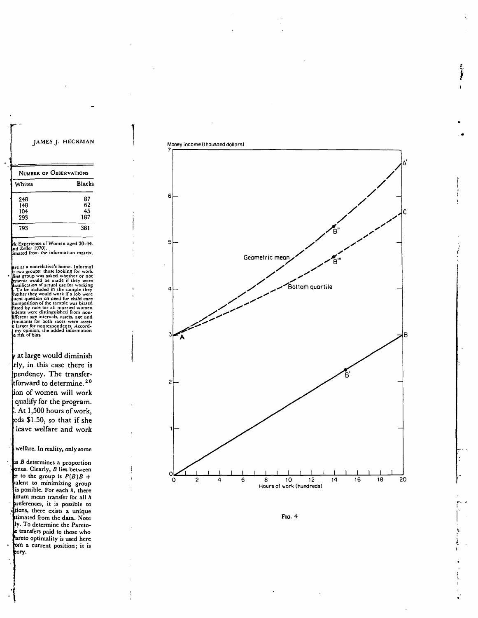Money income (thousand dollars)<br>7

 $\ddot{\phantom{0}}$ 



 $r_{\rm 10}$ .  $4 \overline{ }$ 

à,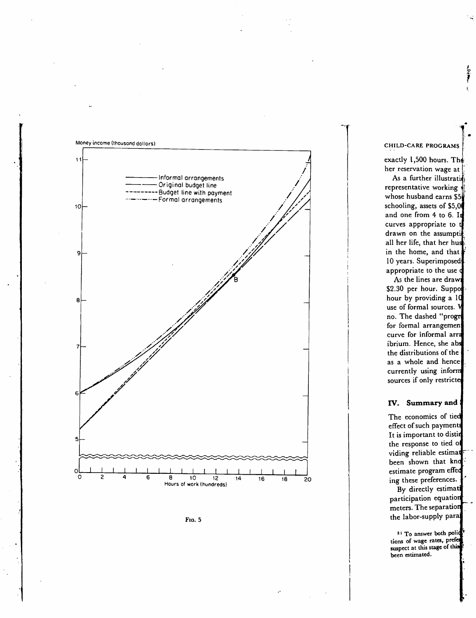

Fig.  $5<sub>1</sub>$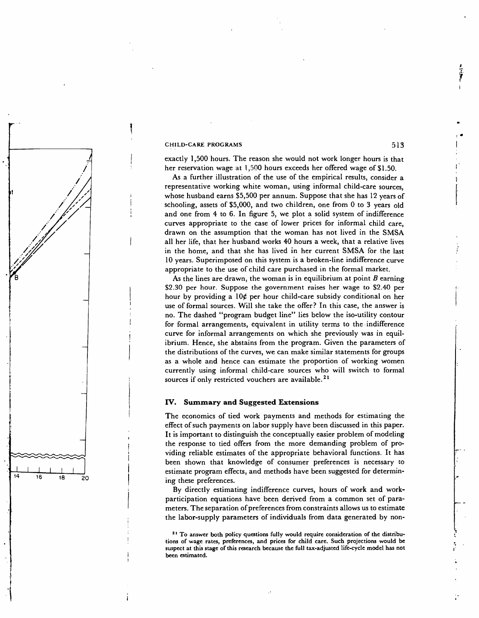exactly 1,500 hours. The reason she would not work longer hours is that her reservation wage at 1,500 hours exceeds her offered wage of \$1.50.

As a further illustration of the use of the empirical results, consider a representative working white woman, using informal child-care sources, whose husband earns \$5,500 per annum. Suppose that she has 12 years of schooling, assets of \$5,000, and two children, one from 0 to 3 years old and one from 4 to 6. In figure 5, we plot a solid system of indifference curves appropriate to the case of lower prices for informal child care, drawn on the assumption that the woman has not lived in the SMSA all her life, that her husband works 40 hours a week, that a relative lives in the home, and that she has lived in her current SMSA for the last 10 years. Superimposed on this system is a broken-line indifference curve appropriate to the use of child care purchased in the formal market.

As the lines are drawn, the woman is in equilibrium at point  $B$  earning \$2.30 per hour. Suppose the government raises her wage to \$2.40 per hour by providing a  $10¢$  per hour child-care subsidy conditional on her use of formal sources. Will she take the offer? In this case, the answer is no. The dashed "program budget line" lies below the iso-utility contour for formal arrangements, equivalent in utility terms to the indifference curve for informal arrangements on which she previously was in equilibrium. Hence, she abstains from the program. Given the parameters of the distributions of the curves, we can make similar statements for groups as a whole and hence can estimate the proportion of working women currently using informal child-care sources who will switch to formal sources if only restricted vouchers are available.<sup>21</sup>

# IV. Summary and Suggested Extensions

The economics of tied work payments and methods for estimating the effect of such payments on labor supply have been discussed in this paper. It is important to distinguish the conceptually easier problem of modeling the response to tied offers from the more demanding problem of providing reliable estimates of the appropriate behavioral functions. It has been shown that knowledge of consumer preferences is necessary to estimate program effects, and methods have been suggested for determining these preferences.

By directly estimating indifference curves, hours of work and workparticipation equations have been derived from a common set of parameters. The separation of preferences from constraints allows us to estimate the labor-supply parameters of individuals from data generated by non-

<sup>21</sup> To answer both policy questions fully would require consideration of the distributions of wage rates, preferences, and prices for child care. Such projections would be suspect at this stage of this research because the full tax-adjusted life-cycle model has not been estimated.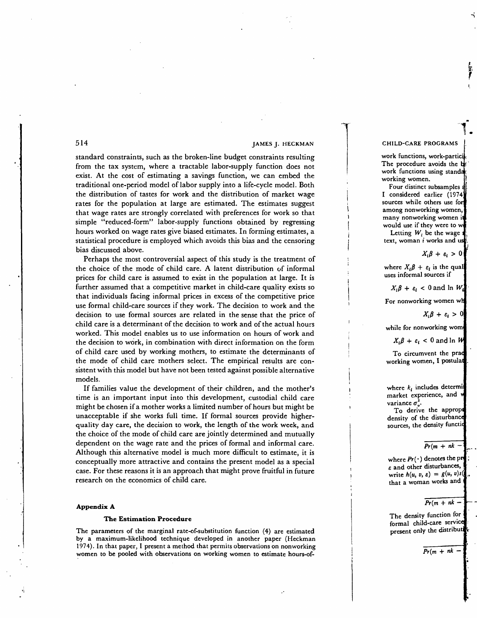$\cdot$ 

standard constraints, such as the broken-line budget constraints resulting from the tax system, where a tractable labor-supply function does not exist. At the cost of estimating a savings function, we can embed the traditional one-period model of labor supply into a life-cycle model. Both the distribution of tastes for work and the distribution of market wage rates for the population at large are estimated. The estimates suggest that wage rates are strongly correlated with preferences for work so that simple "reduced-form" labor-supply functions obtained by regressing hours worked on wage rates give biased estimates. In forming estimates, a statistical procedure is employed which avoids this bias and the censoring bias discussed above.

Perhaps the most controversial aspect of this study is the treatment of the choice of the mode of child care. A latent distribution of informal prices for child care is assumed to exist in the population at large. It is further assumed that a competitive market in child-care quality exists so that individuals facing informal prices in excess of the competitive price use formal child-care sources if they work. The decision to work and the decision to use formal sources are related in the sense that the price of child care is a determinant of the decision to work and of the actual hours worked. This model enables us to use information on hours of work and the decision to work, in combination with direct information on the form of child care used by working mothers, to estimate the determinants of the mode of child care mothers select. The empirical results are consistent with this model but have not been tested against possible alternative models.

If families value the development of their children, and the mother's time is an important input into this development, custodial child care might be chosen if a mother works a limited number of hours but might be unacceptable if she works full time. If formal sources provide higherquality day care, the decision to work, the length of the work week, and the choice of the mode of child care are jointly determined and mutually dependent on the wage rate and the prices of formal and informal care. Although this alternative model is much more difficult to estimate, it is conceptually more attractive and contains the present model as a special case. For these reasons it is an approach that might prove fruitful in future research on the economics of child care.

#### Appendix A

#### The Estimation Procedure

The parameters of the marginal rate-of-substitution function (4) are estimated by a maximum-likelihood technique developed in another paper (Heckman 1974). In that paper, I present a method that permits observations on nonworking women to be pooled with observations on working women to estimate hours-of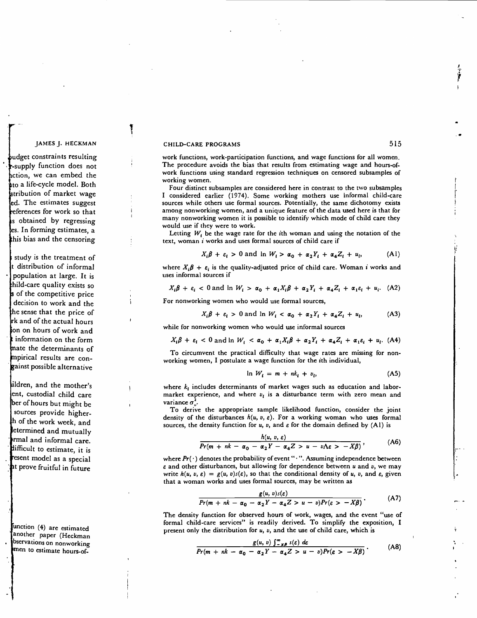work functions, work-participation functions, and wage functions for all women. The procedure avoids the bias that results from estimating wage and hours-ofwork functions using standard regression techniques on censored subsamples of working women.

it prove fruitful in future in the control of the control of the control of the control of the control of the control of the control of the control of the control of the control of the control of the control of the control Four distinct subsamples are considered here in contrast to the two subsamples I considered earlier (1974). Some working mothers use informal child-care sources while others use formal sources. Potentially, the same dichotomy exists among nonworking women, and a unique feature of the data used here is that for many nonworking women it is possible to identify which mode of child care they would use if they were to work.

Letting  $W_i$  be the wage rate for the *i*th woman and using the notation of the text, woman  $i$  works and uses formal sources of child care if

$$
X_i\beta + \varepsilon_i > 0 \text{ and } \ln W_i > \alpha_0 + \alpha_2 Y_i + \alpha_4 Z_i + u_i, \tag{Al}
$$

where  $X_i\beta + \varepsilon_i$  is the quality-adjusted price of child care. Woman i works and uses informal sources if

$$
X_i\beta + \varepsilon_i < 0 \text{ and } \ln W_i > \alpha_0 + \alpha_1 X_i\beta + \alpha_2 Y_i + \alpha_4 Z_i + \alpha_1 \varepsilon_i + u_i. \quad (A2)
$$

For nonworking women who would use formal sources,

$$
X_i\beta + \varepsilon_i > 0 \text{ and } \ln W_i < \alpha_0 + \alpha_2 Y_i + \alpha_4 Z_i + u_i,\tag{A3}
$$

while for nonworking women who would use informal sources

$$
X_i\beta + \varepsilon_i < 0 \text{ and } \ln W_i < \alpha_0 + \alpha_1 X_i\beta + \alpha_2 Y_i + \alpha_4 Z_i + \alpha_1 \varepsilon_i + u_i. \tag{A4}
$$

To circumvent the practical difficulty that wage rates are missing for nonworking women, I postulate a wage function for the ith individual,

$$
\ln W_i = m + nk_i + v_i, \tag{A5}
$$

where  $k_i$  includes determinants of market wages such as education and labormarket experience, and where  $v_i$  is a disturbance term with zero mean and variance  $\sigma_{v}^{2}$ .

To derive the appropriate sample likelihood function, consider the joint density of the disturbances  $h(u, v, \varepsilon)$ . For a working woman who uses formal sources, the density function for u, v, and  $\varepsilon$  for the domain defined by (Al) is

$$
\frac{h(u, v, \varepsilon)}{Pr(m + nk - \alpha_0 - \alpha_2 Y - \alpha_4 Z > u - v\Lambda\varepsilon > -X\beta)},\tag{A6}
$$

where  $Pr(\cdot)$  denotes the probability of event " $\cdot$ ". Assuming independence between  $\varepsilon$  and other disturbances, but allowing for dependence between  $u$  and  $v$ , we may write  $h(u, v, \varepsilon) = g(u, v)s(\varepsilon)$ , so that the conditional density of u, v, and  $\varepsilon$ , given that a woman works and uses formal sources, may be written as

$$
\frac{g(u, v)s(\varepsilon)}{Pr(m + nk - \alpha_0 - \alpha_2 Y - \alpha_4 Z > u - v)Pr(\varepsilon > -X\beta)}.
$$
 (A7)

The density function for observed hours of work, wages, and the event "use of formal child-care services" is readily derived. To simplify the exposition, I present only the distribution for  $u$ ,  $v$ , and the use of child care, which is

$$
\frac{g(u, v) \int_{-\kappa \rho}^{\infty} s(\varepsilon) d\varepsilon}{Pr(m + nk - \alpha_0 - \alpha_2 Y - \alpha_4 Z > u - v) Pr(\varepsilon > -X\beta)}.
$$
 (A8)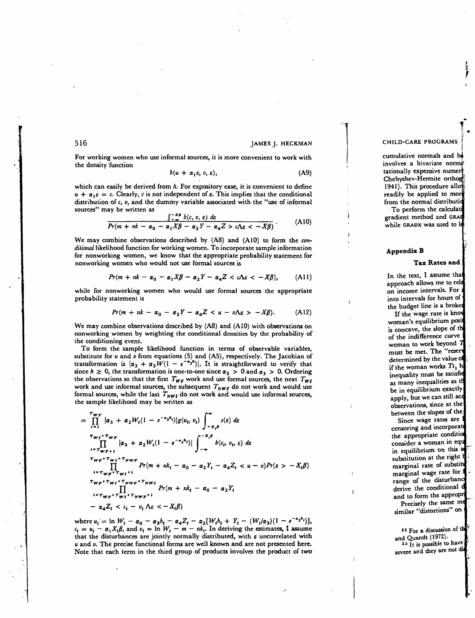$\cdot$ 

For working women who use informal sources, it is more convenient to work with the density function

$$
b(u + \alpha_1 \varepsilon, v, \varepsilon), \tag{A9}
$$

which can easily be derived from  $h$ . For expository ease, it is convenient to define  $u + \alpha_1 \varepsilon = c$ . Clearly, c is not independent of  $\varepsilon$ . This implies that the conditional distribution of c, v, and the dummy variable associated with the "use of informal sources" may be written as

$$
\frac{\int_{-\infty}^{-b} b(c, v, \varepsilon) \, d\varepsilon}{Pr(m + nk - \alpha_0 - \alpha_1 X \beta - \alpha_2 Y - \alpha_4 Z > c \Lambda \varepsilon < -X\beta)} \,. \tag{A10}
$$

We may combine observations described by  $(AB)$  and  $(A10)$  to form the conditional likelihood function for working women. To incorporate sample information for nonworking women, we know that the appropriate probability statement for nonworking women who would not use formal sources is

$$
Pr(m + nk - \alpha_0 - \alpha_1 X\beta - \alpha_2 Y - \alpha_4 Z < c\Lambda \varepsilon < -X\beta), \qquad (All)
$$

while for nonworking women who would use formal sources the appropriate probability statement is

$$
Pr(m + nk - \alpha_0 - \alpha_2 Y - \alpha_4 Z < u - v \Lambda \varepsilon > -X \beta). \tag{A12}
$$

We may combine observations described by  $(AB)$  and  $(A10)$  with observations on nonworking women by weighting the conditional densities by the probability of the conditioning event.

To form the sample likelihood function in terms of observable variables, substitute for u and v from equations (5) and  $($ A5), respectively. The Jacobian of transformation is  $|\alpha_3 + \alpha_2 W(1 - e^{-\alpha_3 t})|$ . It is straightforward to verify that since  $h \ge 0$ , the transformation is one-to-one since  $\alpha_2 > 0$  and  $\alpha_3 > 0$ . Ordering the observations so that the first  $T_{WF}$  work and use formal sources, the next  $T_{WF}$ work and use informal sources, the subsequent  $T_{NWF}$  do not work and would use formal sources, while the last  $T_{NWI}$  do not work and would use informal sources, the sample likelihood may be written as

$$
= \prod_{i=1}^{T_{WF}} |\alpha_3 + \alpha_2 W_i (1 - e^{-\alpha_3 h_i})| g(u_i, v_i) \int_{-\alpha_i \beta}^{\infty} s(e) \, de
$$
  
\n
$$
= \prod_{i=1}^{T_{WF} + T_{WF}} |\alpha_3 + \alpha_2 W_i (1 - e^{-\alpha_3 h_i})| \int_{-\infty}^{-x_i \beta} b(c_i, v_i, e) \, de
$$
  
\n
$$
= \prod_{i=T_{WF} + T_{WF} + T_{WHF}} Pr(m + nk_i - \alpha_0 - \alpha_2 Y_i - \alpha_4 Z_i < u - v) Pr(e > -X_i \beta)
$$
  
\n
$$
= \prod_{i=T_{WF} + T_{WF} + T_{WHF} + T_{WHF}} Pr(m + nk_i - \alpha_0 - \alpha_2 Y_i - \alpha_4 Z_i < u - v) Pr(e > -X_i \beta)
$$
  
\n
$$
= \pi_{WF} + \pi_{WI} + \pi_{WWF} + i
$$
  
\n
$$
= \alpha_4 Z_i < c_i - v_i \text{ A.e. } -X_i \beta
$$

where  $u_i = \ln W_i - \alpha_0 - \alpha_3 h_i - \alpha_4 Z_i - \alpha_2 [W_i h_i + Y_i - (W_i/\alpha_3)(1 - e^{-\alpha_3 h_i})],$  $c_i = u_i - \alpha_1 X_i \beta$ , and  $v_i = \ln W_i - m - nk_i$ . In deriving the estimates, I assume that the disturbances are jointly normally distributed, with  $\varepsilon$  uncorrelated with u and v. The precise functional forms are well known and are not presented here. Note that each term in the third group of products involves the product of two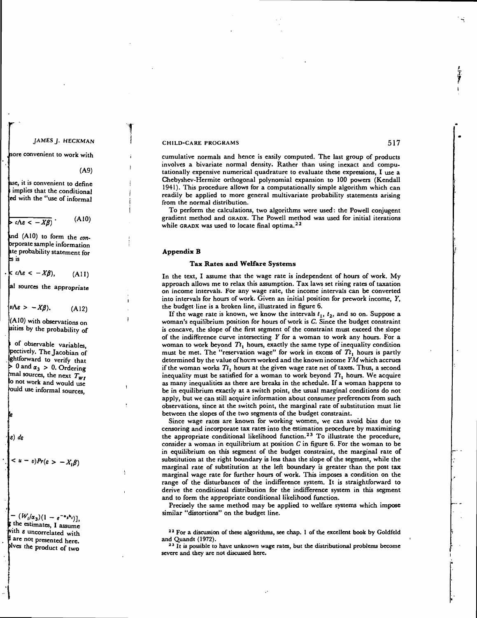cumulative normals and hence is easily computed. The last group of products involves a bivariate normal density. Rather than using inexact and computationally expensive numerical quadrature to evaluate these expressions, I use a Chebyshev-Hermite orthogonal polynomial expansion to 100 powers (Kendall 1941). This procedure allows for a computationally simple algorithm which can readily be applied to more general multivariate probability statements arising from the normal distribution.

To perform the calculations, two algorithms were used: the Powell conjugent gradient method and GRADX. The Powell method was used for initial iterations while GRADX was used to locate final optima.<sup>22</sup>

#### Appendix B

#### Tax Rates and Welfare Systems

In the text, I assume that the wage rate is independent of hours of work. My approach allows me to relax this assumption. Tax laws set rising rates of taxation on income intervals. For any wage rate, the income intervals can be converted into intervals for hours of work. Given an initial position for prework income,  $Y$ , the budget line is a broken line, illustrated in figure 6.

CHILD-CAF<br>
cumulative<br>
involves a<br>
tationally e:<br>
Chebyshev-<br>
1941). This<br>
readily be<br>
from the no<br>
To perfour and the proof<br>
gradient movile GRAD:<br> **Appendix**<br>
Tra<br> **Appendix**<br>
Tra<br>
In the text,<br>
approach al<br>
on income i If the wage rate is known, we know the intervals  $t_1$ ,  $t_2$ , and so on. Suppose a woman's equilibrium position for hours of work is C. Since the budget constraint is concave, the slope of the first segment of the constraint must exceed the slope of the indifference curve intersecting  $Y$  for a woman to work any hours. For a woman to work beyond  $T_t$ , hours, exactly the same type of inequality condition must be met. The "reservation wage" for work in excess of  $T_i$  hours is partly determined by the value of hours worked and the known income  $YM$  which accrues if the woman works  $Tt_1$  hours at the given wage rate net of taxes. Thus, a second inequality must be satisfied for a woman to work beyond  $T_t$ , hours. We acquire as many inequalities as there are breaks in the schedule. If a woman happens to be in equilibrium exactly at a switch point, the usual marginal conditions do not apply, but we can still acquire information about consumer preferences from such observations, since at the switch point, the marginal rate of substitution must lie between the slopes of the two segments of the budget constraint.

Since wage rates are known for working women, we can avoid bias due to censoring and incorporate tax rates into the estimation procedure by maximizing the appropriate conditional likelihood function.23 To illustrate the procedure, consider a woman in equilibrium at position  $C$  in figure 6. For the woman to be in equilibrium on this segment of the budget constraint, the marginal rate of substitution at the right boundary is less than the slope of the segment, while the marginal rate of substitution at the left boundary is greater than the post tax marginal wage rate for further hours of work. This imposes a condition on the range of the disturbances of the indifference system. It is straightforward to derive the conditional distribution for the indifference system in this segment and to form the appropriate conditional likelihood function.

Precisely the same method may be applied to welfare systems which impose similar "distortions" on the budget line.

<sup>23</sup> It is possible to have unknown wage rates, but the distributional problems become severe and they are not discussed here.

 $\mathbf{r}^{\prime}$ 

<sup>&</sup>lt;sup>22</sup> For a discussion of these algorithms, see chap. 1 of the excellent book by Goldfeld and Quandt (1972).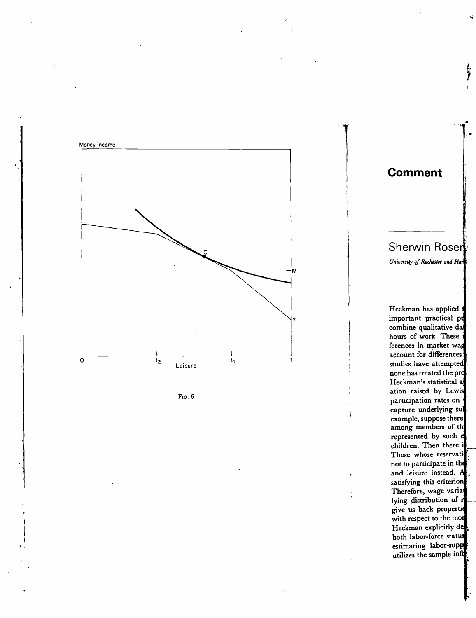



 $\overline{\phantom{a}}$ 

 $\ddot{\phantom{a}}$ 

 $\ddot{\phantom{a}}$ 

Fig.  $6$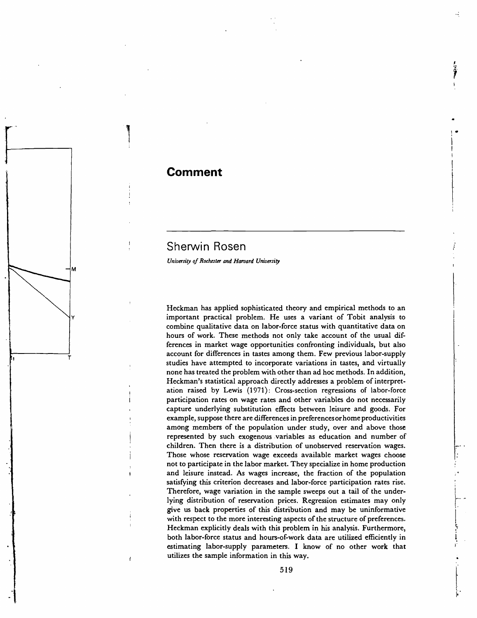# Comment

# Sherwin Rosen

University of Rochester and Harvard University

Heckman has applied sophisticated theory and empirical methods to an important practical problem. He uses a variant of Tobit analysis to combine qualitative data on labor-force status with quantitative data on hours of work. These methods not only take account of the usual differences in market wage opportunities confronting individuals, but also account for differences in tastes among them. Few previous labor-supply studies have attempted to incorporate variations in tastes, and virtually none has treated the problem with other than ad hoc methods. In addition, Heckman's statistical approach directly addresses a problem of interpretation raised by Lewis (1971): Cross-section regressions of labor-force participation rates on wage rates and other variables do not necessarily capture underlying substitution effects between leisure and goods. For example, suppose there are differences in preferences or home productivities among members of the population under study, over and above those represented by such exogenous variables as education and number of children. Then there is a distribution of unobserved reservation wages. Those whose reservation wage exceeds available market wages choose not to participate in the labor market. They specialize in home production and leisure instead. As wages increase, the fraction of the population satisfying this criterion decreases and labor-force participation rates rise. Therefore, wage variation in the sample sweeps out a tail of the underlying distribution of reservation prices. Regression estimates may only give us back properties of this distribution and may be uninformative with respect to the more interesting aspects of the structure of preferences. Heckman explicitly deals with this problem in his analysis. Furthermore, both labor-force status and hours-of-work data are utilized efficiently in estimating labor-supply parameters. I know of no other work that utilizes the sample information in this way.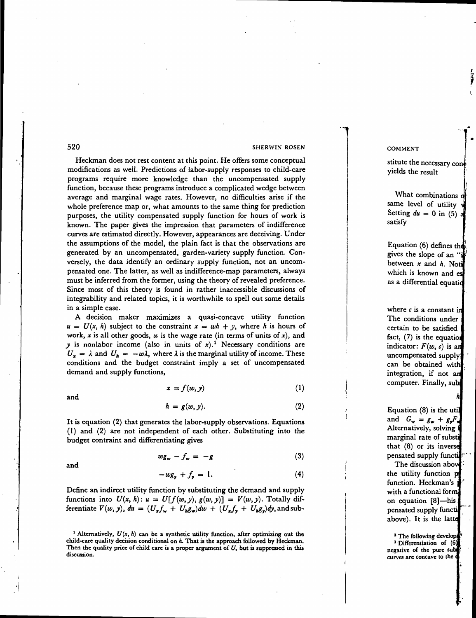520 SHERWIN ROSEN

Heckman does not rest content at this point. He offers some conceptual modifications as well. Predictions of labor-supply responses to child-care programs require more knowledge than the uncompensated supply function, because these programs introduce a complicated wedge between average and marginal wage rates. However, no difficulties arise if the whole preference map or, what amounts to the same thing for prediction purposes, the utility compensated supply function for hours of work is known. The paper gives the impression that parameters of indifference curves are estimated directly. However, appearances are deceiving. Under the assumptions of the model, the plain fact is that the observations are generated by an uncompensated, garden-variety supply function, Conversely, the data identify an ordinary supply function, not an uncompensated one. The latter, as well as indifference-map parameters, always must be inferred from the former, using the theory of revealed preference. Since most of this theory is found in rather inaccessible discussions of integrability and related topics, it is worthwhile to spell out some details in a simple case.

A decision maker maximizes a quasi-concave utility function  $u = U(x, h)$  subject to the constraint  $x = wh + y$ , where h is hours of work, x is all other goods, w is the wage rate (in terms of units of x), and y is nonlabor income (also in units of  $x$ ).<sup>1</sup> Necessary conditions are  $U_x = \lambda$  and  $U_h = -w\lambda$ , where  $\lambda$  is the marginal utility of income. These conditions and the budget constraint imply a set of uncompensated demand and supply functions,

$$
x = f(w, y) \tag{1}
$$

and

$$
h = g(w, y). \tag{2}
$$

It is equation (2) that generates the labor-supply observations. Equations (1) and (2) are not independent of each other. Substituting into the budget contraint and differentiating gives

$$
wg_w - f_w = -g \tag{3}
$$

$$
\quad \text{and} \quad
$$

$$
-wg_y + f_y = 1. \tag{4}
$$

Define an indirect utility function by substituting the demand and supply functions into  $U(x, h): u = U[f(w, y), g(w, y)] = V(w, y)$ . Totally differentiate  $V(w, y)$ ,  $du = (U_x f_w + U_h g_w) dw + (U_x f_v + U_h g_v) dy$ , and sub-

<sup>&</sup>lt;sup>1</sup> Alternatively,  $U(x, h)$  can be a synthetic utility function, after optimizing out the child-care quality decision conditional on  $h$ . That is the approach followed by Heckman. Then the quality price of child care is a proper argument of  $U$ , but is suppressed in this discussion.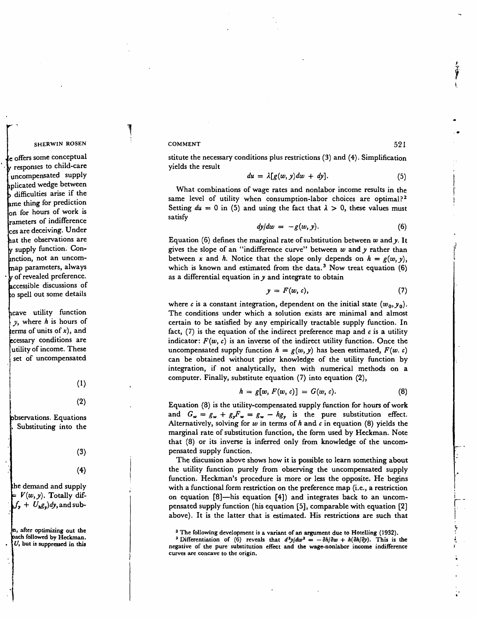# COMMENT 521

stitute the necessary conditions plus restrictions (3) and (4). Simplification yields the result

$$
du = \lambda [g(w, y)dw + dy]. \qquad (5)
$$

What combinations of wage rates and nonlabor income results in the same level of utility when consumption-labor choices are optimal?<sup>2</sup> Setting  $du = 0$  in (5) and using the fact that  $\lambda > 0$ , these values must satisfy

$$
dy/dw = -g(w, y). \tag{6}
$$

Equation (6) defines the marginal rate of substitution between  $w$  and  $y$ . It gives the slope of an "indifference curve" between  $w$  and  $y$  rather than between x and h. Notice that the slope only depends on  $h = g(w, y)$ , which is known and estimated from the data.<sup>3</sup> Now treat equation  $(6)$ as a differential equation in  $y$  and integrate to obtain

$$
y = F(w, c), \tag{7}
$$

where c is a constant integration, dependent on the initial state  $(w_0, y_0)$ . The conditions under which a solution exists are minimal and almost certain to be satisfied by any empirically tractable supply function. In fact,  $(7)$  is the equation of the indirect preference map and c is a utility indicator:  $F(w, c)$  is an inverse of the indirect utility function. Once the uncompensated supply function  $h = g(w, y)$  has been estimated,  $F(w, c)$ can be obtained without prior knowledge of the utility function by integration, if not analytically, then with numerical methods on a computer. Finally, substitute equation (7) into equation (2),

$$
h = g[w, F(w, c)] = G(w, c). \tag{8}
$$

Equation (8) is the utility-compensated supply function for hours of work and  $G_w = g_w + g_y F_w = g_w - hg_y$  is the pure substitution effect. Alternatively, solving for  $w$  in terms of  $h$  and  $c$  in equation (8) yields the marginal rate of substitution function, the form used by Heckman. Note that (8) or its inverse is inferred only from knowledge of the uncompensated supply function.

The discussion above shows how it is possible to learn something about the utility function purely from observing the uncompensated supply function. Heckman's procedure is more or less the opposite. He begins with a functional form restriction on the preference map (i.e., a restriction on equation [81—his equation [4]) and integrates back to an uncompensated supply function (his equation [5], comparable with equation [2] above). It is the latter that is estimated. His restrictions are such that

<sup>&</sup>lt;sup>2</sup> The following development is a variant of an argument due to Hotelling (1932).

<sup>&</sup>lt;sup>3</sup> Differentiation of (6) reveals that  $d^2y/dw^2 = -\partial h/\partial w + h(\partial h/\partial y)$ . This is the negative of the pure substitution effect and the wage-nonlabor income indifference curves are concave to the origin.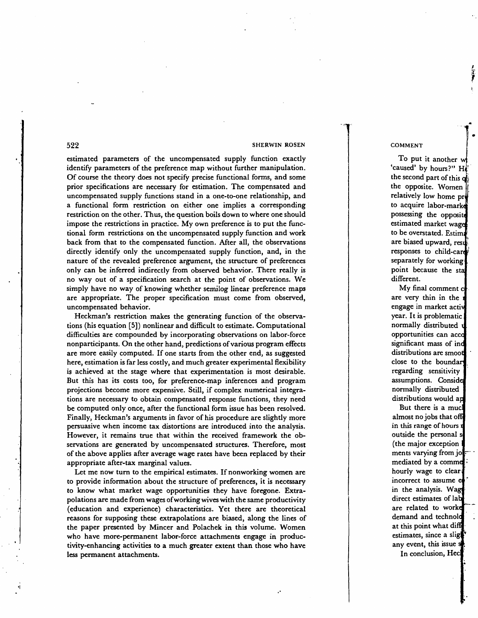522 SHERWIN ROSEN

 $\cdot$ 

estimated parameters of the uncompensated supply function exactly identify parameters of the preference map without further manipulation. Of course the theory does not specify precise functional forms, and some prior specifications are necessary for estimation. The compensated and uncompensated supply functions stand in a one-to-one relationship, and a functional form restriction on either one implies a corresponding restriction on the other. Thus, the question boils down to where one should impose the restrictions in practice. My own preference is to put the functional form restrictions on the uncompensated supply function and work back from that to the compensated function. After all, the observations directly identify only the uncompensated supply function, and, in the nature of the revealed preference argument, the structure of preferences only can be inferred indirectly from observed behavior. There really is no way out of a specification search at the point of observations. We simply have no way of knowing whether semilog linear preference maps are appropriate. The proper specification must come from observed, uncompensated behavior.

Heckman's restriction makes the generating function of the observations (his equation [5]) nonlinear and difficult to estimate. Computational difficulties are compounded by incorporating observations on labor-force nonparticipants. On the other hand, predictions of various program effects are more easily computed. If one starts from the other end, as suggested here, estimation is far less costly, and much greater experimental flexibility is achieved at the stage where that experimentation is most desirable. But this has its costs too, for preference-map inferences and program projections become more expensive. Still, if complex numerical integrations are necessary to obtain compensated response functions, they need be computed only once, after the functional form issue has been resolved. Finally, Heckman's arguments in favor of his procedure are slightly more persuasive when income tax distortions are introduced into the analysis. However, it remains true that within the received framework the observations are generated by uncompensated structures. Therefore, most of the above applies after average wage rates have been replaced by their appropriate after-tax marginal values.

Let me now turn to the empirical estimates. If nonworking women are to provide information about the structure of preferences, it is necessary to know what market wage opportunities they have foregone. Extrapolations are made from wages of working wives with the same productivity (education and experience) characteristics. Yet there are theoretical reasons for supposing these extrapolations are biased, along the lines of the paper presented by Mincer and Polachek in this volume. Women who have more-permanent labor-force attachments engage in productivity-enhancing activities to a much greater extent than those who have less permanent attachments.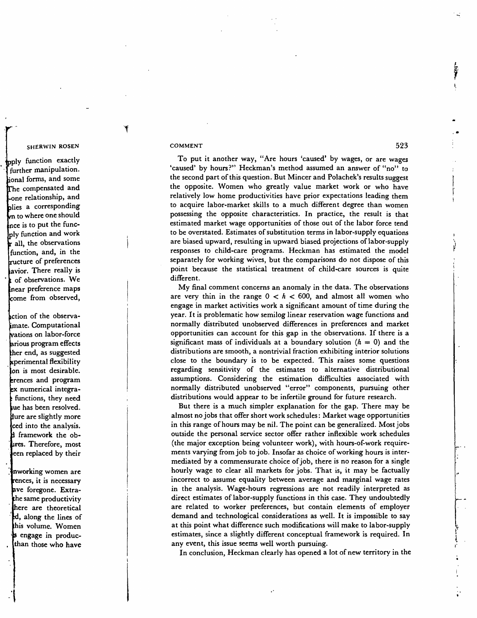To put it another way, "Are hours 'caused' by wages, or are wages 'caused' by hours?" Heckman's method assumed an answer of "no" to the second part of this question. But Mincer and Polachek's results suggest the opposite. Women who greatly value market work or who have relatively low home productivities have prior expectations leading them to acquire labor-market skills to a much different degree than women possessing the opposite characteristics. In practice, the result is that estimated market wage opportunities of those out of the labor force tend to be overstated. Estimates of substitution terms in labor-supply equations are biased upward, resulting in upward biased projections of labor-supply responses to child-care programs. Heckman has estimated the model separately for working wives, but the comparisons do not dispose of this point because the statistical treatment of child-care sources is quite different.

My final comment concerns an anomaly in the data. The observations are very thin in the range  $0 < h < 600$ , and almost all women who engage in market activities work a significant amount of time during the year. It is problematic how semilog linear reservation wage functions and normally distributed unobserved differences in preferences and market opportunities can account for this gap in the observations. If there is a significant mass of individuals at a boundary solution  $(h = 0)$  and the distributions are smooth, a nontrivial fraction exhibiting interior solutions close to the boundary is to be expected. This raises some questions regarding sensitivity of the estimates to alternative distributional assumptions. Considering the estimation difficulties associated with normally distributed unobserved "error" components, pursuing other distributions would appear to be infertile ground for future research.

But there is a much simpler explanation for the gap. There may be almost no jobs that offer short work schedules: Market wage opportunities in this range of hours may be nil. The point can be generalized. Most jobs outside the personal service sector offer rather inflexible work schedules (the major exception being volunteer work), with hours-of-work requirements varying from job to job. Insofar as choice of working hours is intermediated by a commensurate choice of job, there is no reason for a single hourly wage to clear all markets for jobs. That is, it may be factually incorrect to assume equality between average and marginal wage rates in the analysis. Wage-hours regressions are not readily interpreted as direct estimates of labor-supply functions in this case. They undoubtedly are related to worker preferences, but contain elements of employer demand and technological considerations as well. It is impossible to say at this point what difference such modifications will make to labor-supply estimates, since a slightly different conceptual framework is required. In any event, this issue seems well worth pursuing.

In conclusion, Heckman clearly has opened a lot of new territory in the

 $\ddot{\phantom{a}}$